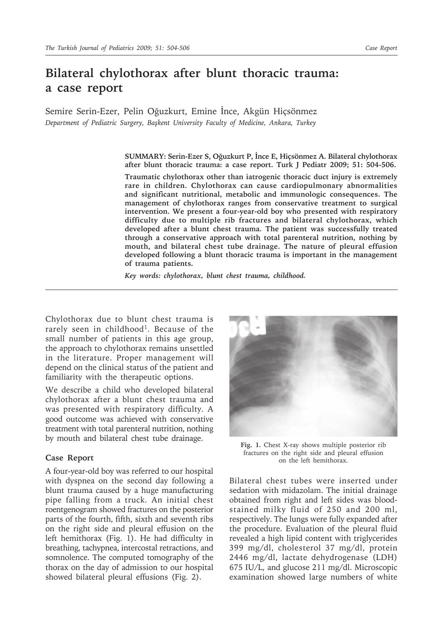## **Bilateral chylothorax after blunt thoracic trauma: a case report**

Semire Serin-Ezer, Pelin Oğuzkurt, Emine İnce, Akgün Hiçsönmez *Department of Pediatric Surgery, Başkent University Faculty of Medicine, Ankara, Turkey*

> **SUMMARY: Serin-Ezer S, Oğuzkurt P, İnce E, Hiçsönmez A. Bilateral chylothorax after blunt thoracic trauma: a case report. Turk J Pediatr 2009; 51: 504-506.**

> **Traumatic chylothorax other than iatrogenic thoracic duct injury is extremely rare in children. Chylothorax can cause cardiopulmonary abnormalities and significant nutritional, metabolic and immunologic consequences. The management of chylothorax ranges from conservative treatment to surgical intervention. We present a four-year-old boy who presented with respiratory difficulty due to multiple rib fractures and bilateral chylothorax, which developed after a blunt chest trauma. The patient was successfully treated through a conservative approach with total parenteral nutrition, nothing by mouth, and bilateral chest tube drainage. The nature of pleural effusion developed following a blunt thoracic trauma is important in the management of trauma patients.**

*Key words: chylothorax, blunt chest trauma, childhood.*

Chylothorax due to blunt chest trauma is rarely seen in childhood<sup>1</sup>. Because of the small number of patients in this age group, the approach to chylothorax remains unsettled in the literature. Proper management will depend on the clinical status of the patient and familiarity with the therapeutic options.

We describe a child who developed bilateral chylothorax after a blunt chest trauma and was presented with respiratory difficulty. A good outcome was achieved with conservative treatment with total parenteral nutrition, nothing by mouth and bilateral chest tube drainage.

## **Case Report**

A four-year-old boy was referred to our hospital with dyspnea on the second day following a blunt trauma caused by a huge manufacturing pipe falling from a truck. An initial chest roentgenogram showed fractures on the posterior parts of the fourth, fifth, sixth and seventh ribs on the right side and pleural effusion on the left hemithorax (Fig. 1). He had difficulty in breathing, tachypnea, intercostal retractions, and somnolence. The computed tomography of the thorax on the day of admission to our hospital showed bilateral pleural effusions (Fig. 2).



**Fig. 1.** Chest X-ray shows multiple posterior rib fractures on the right side and pleural effusion on the left hemithorax.

Bilateral chest tubes were inserted under sedation with midazolam. The initial drainage obtained from right and left sides was bloodstained milky fluid of 250 and 200 ml, respectively. The lungs were fully expanded after the procedure. Evaluation of the pleural fluid revealed a high lipid content with triglycerides 399 mg/dl, cholesterol 37 mg/dl, protein 2446 mg/dl, lactate dehydrogenase (LDH) 675 IU/L, and glucose 211 mg/dl. Microscopic examination showed large numbers of white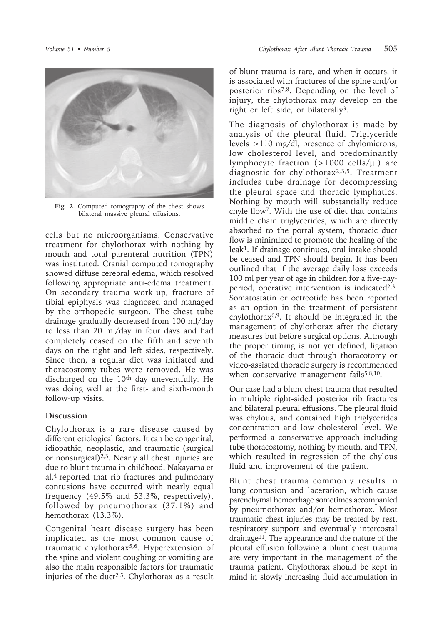

**Fig. 2.** Computed tomography of the chest shows bilateral massive pleural effusions.

cells but no microorganisms. Conservative treatment for chylothorax with nothing by mouth and total parenteral nutrition (TPN) was instituted. Cranial computed tomography showed diffuse cerebral edema, which resolved following appropriate anti-edema treatment. On secondary trauma work-up, fracture of tibial epiphysis was diagnosed and managed by the orthopedic surgeon. The chest tube drainage gradually decreased from 100 ml/day to less than 20 ml/day in four days and had completely ceased on the fifth and seventh days on the right and left sides, respectively. Since then, a regular diet was initiated and thoracostomy tubes were removed. He was discharged on the 10<sup>th</sup> day uneventfully. He was doing well at the first- and sixth-month follow-up visits.

## **Discussion**

Chylothorax is a rare disease caused by different etiological factors. It can be congenital, idiopathic, neoplastic, and traumatic (surgical or nonsurgical)2,3. Nearly all chest injuries are due to blunt trauma in childhood. Nakayama et al.4 reported that rib fractures and pulmonary contusions have occurred with nearly equal frequency (49.5% and 53.3%, respectively), followed by pneumothorax (37.1%) and hemothorax (13.3%).

Congenital heart disease surgery has been implicated as the most common cause of traumatic chylothorax5,6. Hyperextension of the spine and violent coughing or vomiting are also the main responsible factors for traumatic injuries of the duct<sup>2,5</sup>. Chylothorax as a result

of blunt trauma is rare, and when it occurs, it is associated with fractures of the spine and/or posterior ribs7,8. Depending on the level of injury, the chylothorax may develop on the right or left side, or bilaterally3.

The diagnosis of chylothorax is made by analysis of the pleural fluid. Triglyceride levels >110 mg/dl, presence of chylomicrons, low cholesterol level, and predominantly lymphocyte fraction (>1000 cells/µl) are diagnostic for chylothorax2,3,5. Treatment includes tube drainage for decompressing the pleural space and thoracic lymphatics. Nothing by mouth will substantially reduce chyle flow7. With the use of diet that contains middle chain triglycerides, which are directly absorbed to the portal system, thoracic duct flow is minimized to promote the healing of the leak1. If drainage continues, oral intake should be ceased and TPN should begin. It has been outlined that if the average daily loss exceeds 100 ml per year of age in children for a five-dayperiod, operative intervention is indicated $2,3$ . Somatostatin or octreotide has been reported as an option in the treatment of persistent chylothorax6,9. It should be integrated in the management of chylothorax after the dietary measures but before surgical options. Although the proper timing is not yet defined, ligation of the thoracic duct through thoracotomy or video-assisted thoracic surgery is recommended when conservative management fails $5,8,10$ .

Our case had a blunt chest trauma that resulted in multiple right-sided posterior rib fractures and bilateral pleural effusions. The pleural fluid was chylous, and contained high triglycerides concentration and low cholesterol level. We performed a conservative approach including tube thoracostomy, nothing by mouth, and TPN, which resulted in regression of the chylous fluid and improvement of the patient.

Blunt chest trauma commonly results in lung contusion and laceration, which cause parenchymal hemorrhage sometimes accompanied by pneumothorax and/or hemothorax. Most traumatic chest injuries may be treated by rest, respiratory support and eventually intercostal drainage11. The appearance and the nature of the pleural effusion following a blunt chest trauma are very important in the management of the trauma patient. Chylothorax should be kept in mind in slowly increasing fluid accumulation in